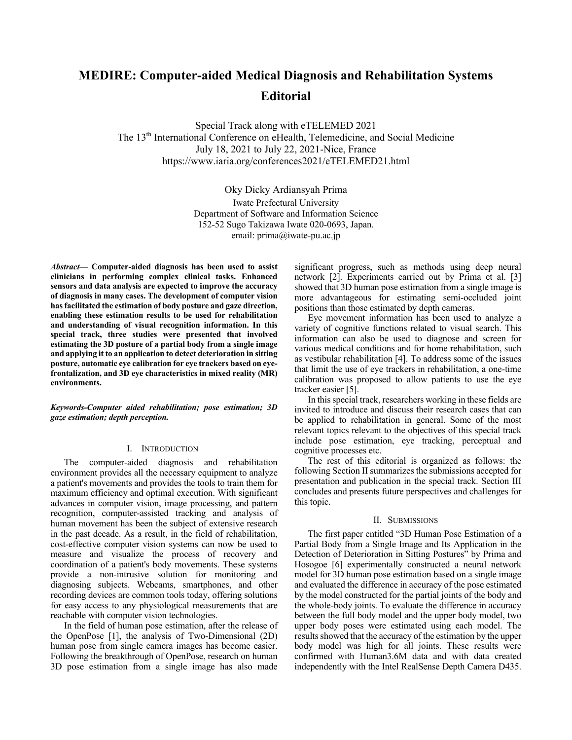# **MEDIRE: Computer-aided Medical Diagnosis and Rehabilitation Systems Editorial**

Special Track along with eTELEMED 2021 The 13<sup>th</sup> International Conference on eHealth, Telemedicine, and Social Medicine July 18, 2021 to July 22, 2021-Nice, France https://www.iaria.org/conferences2021/eTELEMED21.html

> Oky Dicky Ardiansyah Prima Iwate Prefectural University Department of Software and Information Science 152-52 Sugo Takizawa Iwate 020-0693, Japan. email: prima@iwate-pu.ac.jp

*Abstract***— Computer-aided diagnosis has been used to assist clinicians in performing complex clinical tasks. Enhanced sensors and data analysis are expected to improve the accuracy of diagnosis in many cases. The development of computer vision has facilitated the estimation of body posture and gaze direction, enabling these estimation results to be used for rehabilitation and understanding of visual recognition information. In this special track, three studies were presented that involved estimating the 3D posture of a partial body from a single image and applying it to an application to detect deterioration in sitting posture, automatic eye calibration for eye trackers based on eyefrontalization, and 3D eye characteristics in mixed reality (MR) environments.**

*Keywords-Computer aided rehabilitation; pose estimation; 3D gaze estimation; depth perception.*

# I. INTRODUCTION

The computer-aided diagnosis and rehabilitation environment provides all the necessary equipment to analyze a patient's movements and provides the tools to train them for maximum efficiency and optimal execution. With significant advances in computer vision, image processing, and pattern recognition, computer-assisted tracking and analysis of human movement has been the subject of extensive research in the past decade. As a result, in the field of rehabilitation, cost-effective computer vision systems can now be used to measure and visualize the process of recovery and coordination of a patient's body movements. These systems provide a non-intrusive solution for monitoring and diagnosing subjects. Webcams, smartphones, and other recording devices are common tools today, offering solutions for easy access to any physiological measurements that are reachable with computer vision technologies.

In the field of human pose estimation, after the release of the OpenPose [1], the analysis of Two-Dimensional (2D) human pose from single camera images has become easier. Following the breakthrough of OpenPose, research on human 3D pose estimation from a single image has also made

significant progress, such as methods using deep neural network [2]. Experiments carried out by Prima et al. [3] showed that 3D human pose estimation from a single image is more advantageous for estimating semi-occluded joint positions than those estimated by depth cameras.

Eye movement information has been used to analyze a variety of cognitive functions related to visual search. This information can also be used to diagnose and screen for various medical conditions and for home rehabilitation, such as vestibular rehabilitation [4]. To address some of the issues that limit the use of eye trackers in rehabilitation, a one-time calibration was proposed to allow patients to use the eye tracker easier [5].

In this special track, researchers working in these fields are invited to introduce and discuss their research cases that can be applied to rehabilitation in general. Some of the most relevant topics relevant to the objectives of this special track include pose estimation, eye tracking, perceptual and cognitive processes etc.

The rest of this editorial is organized as follows: the following Section II summarizes the submissions accepted for presentation and publication in the special track. Section III concludes and presents future perspectives and challenges for this topic.

## II. SUBMISSIONS

The first paper entitled "3D Human Pose Estimation of a Partial Body from a Single Image and Its Application in the Detection of Deterioration in Sitting Postures" by Prima and Hosogoe [6] experimentally constructed a neural network model for 3D human pose estimation based on a single image and evaluated the difference in accuracy of the pose estimated by the model constructed for the partial joints of the body and the whole-body joints. To evaluate the difference in accuracy between the full body model and the upper body model, two upper body poses were estimated using each model. The results showed that the accuracy of the estimation by the upper body model was high for all joints. These results were confirmed with Human3.6M data and with data created independently with the Intel RealSense Depth Camera D435.